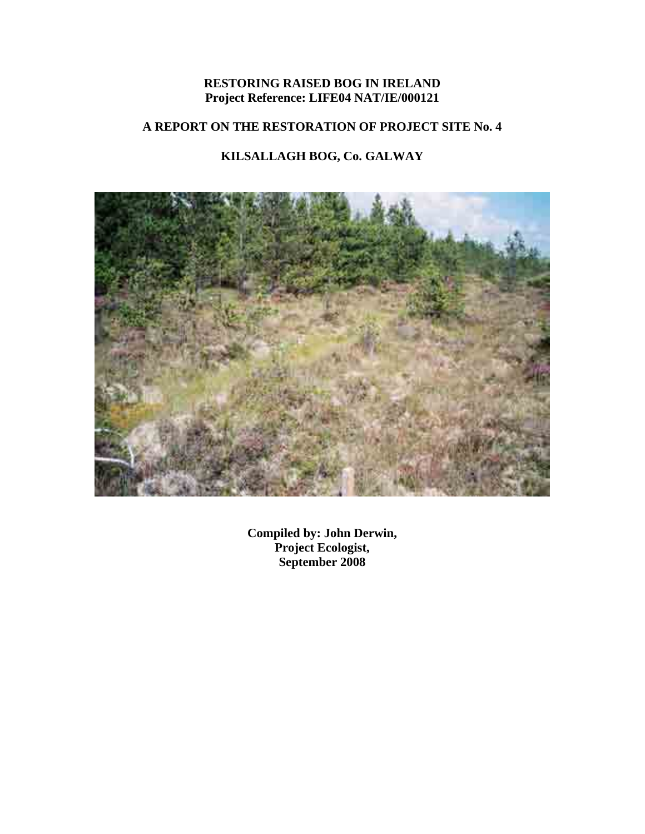## **RESTORING RAISED BOG IN IRELAND Project Reference: LIFE04 NAT/IE/000121**

# **A REPORT ON THE RESTORATION OF PROJECT SITE No. 4**

# **KILSALLAGH BOG, Co. GALWAY**



**Compiled by: John Derwin, Project Ecologist, September 2008**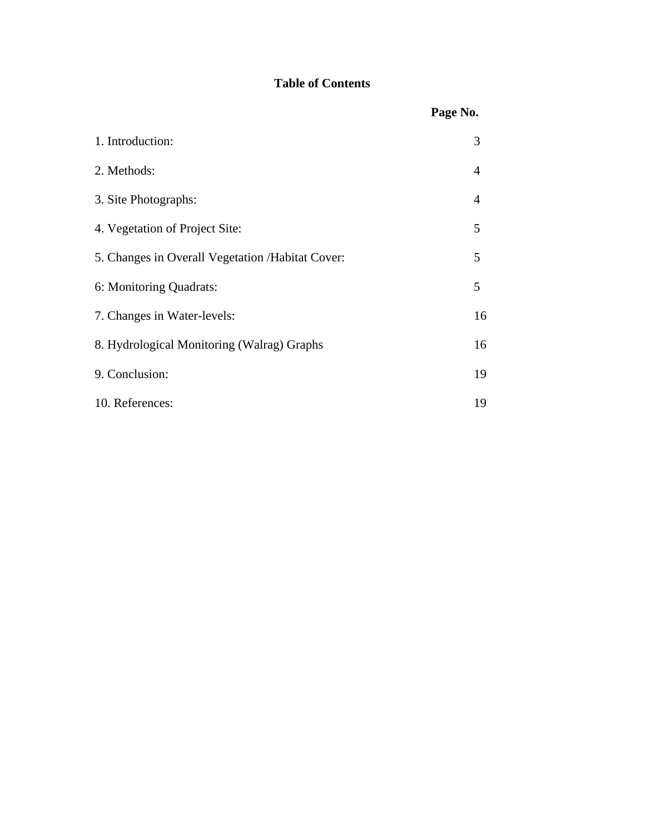# **Table of Contents**

|                                                   | Page No.       |
|---------------------------------------------------|----------------|
| 1. Introduction:                                  | 3              |
| 2. Methods:                                       | $\overline{4}$ |
| 3. Site Photographs:                              | $\overline{4}$ |
| 4. Vegetation of Project Site:                    | 5              |
| 5. Changes in Overall Vegetation / Habitat Cover: | 5              |
| 6: Monitoring Quadrats:                           | 5              |
| 7. Changes in Water-levels:                       | 16             |
| 8. Hydrological Monitoring (Walrag) Graphs        | 16             |
| 9. Conclusion:                                    | 19             |
| 10. References:                                   | 19             |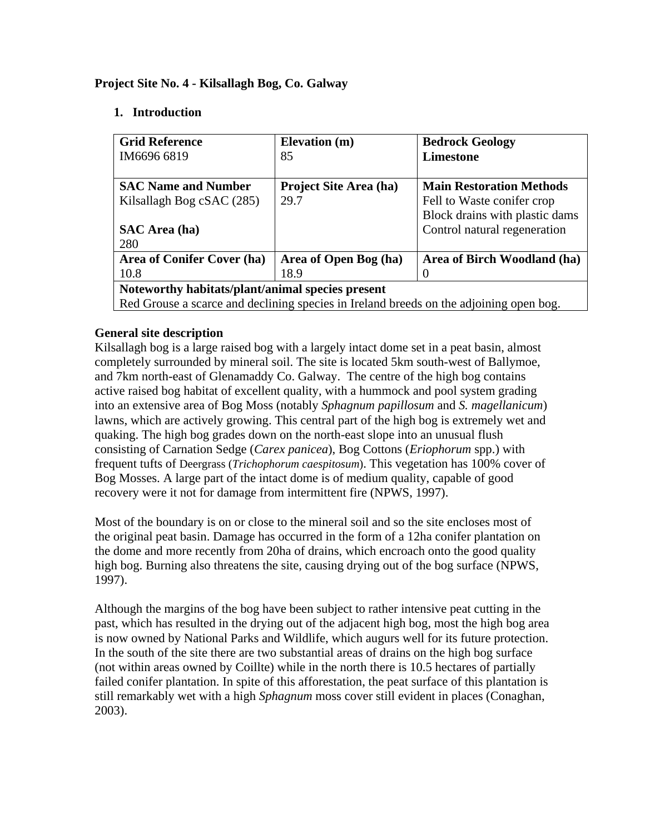#### **Project Site No. 4 - Kilsallagh Bog, Co. Galway**

#### **1. Introduction**

| <b>Grid Reference</b>                                                                  | <b>Elevation</b> (m)          | <b>Bedrock Geology</b>          |  |
|----------------------------------------------------------------------------------------|-------------------------------|---------------------------------|--|
| IM6696 6819                                                                            | 85                            | Limestone                       |  |
|                                                                                        |                               |                                 |  |
| <b>SAC Name and Number</b>                                                             | <b>Project Site Area (ha)</b> | <b>Main Restoration Methods</b> |  |
| Kilsallagh Bog cSAC (285)                                                              | 29.7                          | Fell to Waste conifer crop      |  |
|                                                                                        |                               | Block drains with plastic dams  |  |
| <b>SAC</b> Area (ha)                                                                   |                               | Control natural regeneration    |  |
| 280                                                                                    |                               |                                 |  |
| Area of Conifer Cover (ha)                                                             | Area of Open Bog (ha)         | Area of Birch Woodland (ha)     |  |
| 10.8                                                                                   | 18.9                          |                                 |  |
| Noteworthy habitats/plant/animal species present                                       |                               |                                 |  |
| Red Grouse a scarce and declining species in Ireland breeds on the adjoining open bog. |                               |                                 |  |

#### **General site description**

Kilsallagh bog is a large raised bog with a largely intact dome set in a peat basin, almost completely surrounded by mineral soil. The site is located 5km south-west of Ballymoe, and 7km north-east of Glenamaddy Co. Galway. The centre of the high bog contains active raised bog habitat of excellent quality, with a hummock and pool system grading into an extensive area of Bog Moss (notably *Sphagnum papillosum* and *S. magellanicum*) lawns, which are actively growing. This central part of the high bog is extremely wet and quaking. The high bog grades down on the north-east slope into an unusual flush consisting of Carnation Sedge (*Carex panicea*), Bog Cottons (*Eriophorum* spp.) with frequent tufts of Deergrass (*Trichophorum caespitosum*). This vegetation has 100% cover of Bog Mosses. A large part of the intact dome is of medium quality, capable of good recovery were it not for damage from intermittent fire (NPWS, 1997).

Most of the boundary is on or close to the mineral soil and so the site encloses most of the original peat basin. Damage has occurred in the form of a 12ha conifer plantation on the dome and more recently from 20ha of drains, which encroach onto the good quality high bog. Burning also threatens the site, causing drying out of the bog surface (NPWS, 1997).

Although the margins of the bog have been subject to rather intensive peat cutting in the past, which has resulted in the drying out of the adjacent high bog, most the high bog area is now owned by National Parks and Wildlife, which augurs well for its future protection. In the south of the site there are two substantial areas of drains on the high bog surface (not within areas owned by Coillte) while in the north there is 10.5 hectares of partially failed conifer plantation. In spite of this afforestation, the peat surface of this plantation is still remarkably wet with a high *Sphagnum* moss cover still evident in places (Conaghan, 2003).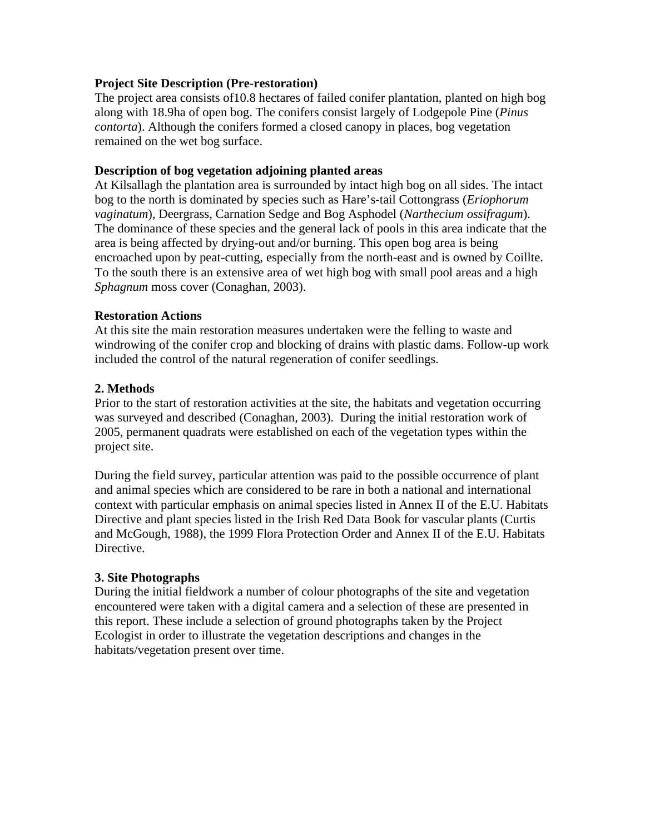#### **Project Site Description (Pre-restoration)**

The project area consists of10.8 hectares of failed conifer plantation, planted on high bog along with 18.9ha of open bog. The conifers consist largely of Lodgepole Pine (*Pinus contorta*). Although the conifers formed a closed canopy in places, bog vegetation remained on the wet bog surface.

#### **Description of bog vegetation adjoining planted areas**

At Kilsallagh the plantation area is surrounded by intact high bog on all sides. The intact bog to the north is dominated by species such as Hare's-tail Cottongrass (*Eriophorum vaginatum*), Deergrass, Carnation Sedge and Bog Asphodel (*Narthecium ossifragum*). The dominance of these species and the general lack of pools in this area indicate that the area is being affected by drying-out and/or burning. This open bog area is being encroached upon by peat-cutting, especially from the north-east and is owned by Coillte. To the south there is an extensive area of wet high bog with small pool areas and a high *Sphagnum* moss cover (Conaghan, 2003).

#### **Restoration Actions**

At this site the main restoration measures undertaken were the felling to waste and windrowing of the conifer crop and blocking of drains with plastic dams. Follow-up work included the control of the natural regeneration of conifer seedlings.

### **2. Methods**

Prior to the start of restoration activities at the site, the habitats and vegetation occurring was surveyed and described (Conaghan, 2003).During the initial restoration work of 2005, permanent quadrats were established on each of the vegetation types within the project site.

During the field survey, particular attention was paid to the possible occurrence of plant and animal species which are considered to be rare in both a national and international context with particular emphasis on animal species listed in Annex II of the E.U. Habitats Directive and plant species listed in the Irish Red Data Book for vascular plants (Curtis and McGough, 1988), the 1999 Flora Protection Order and Annex II of the E.U. Habitats Directive.

### **3. Site Photographs**

During the initial fieldwork a number of colour photographs of the site and vegetation encountered were taken with a digital camera and a selection of these are presented in this report. These include a selection of ground photographs taken by the Project Ecologist in order to illustrate the vegetation descriptions and changes in the habitats/vegetation present over time.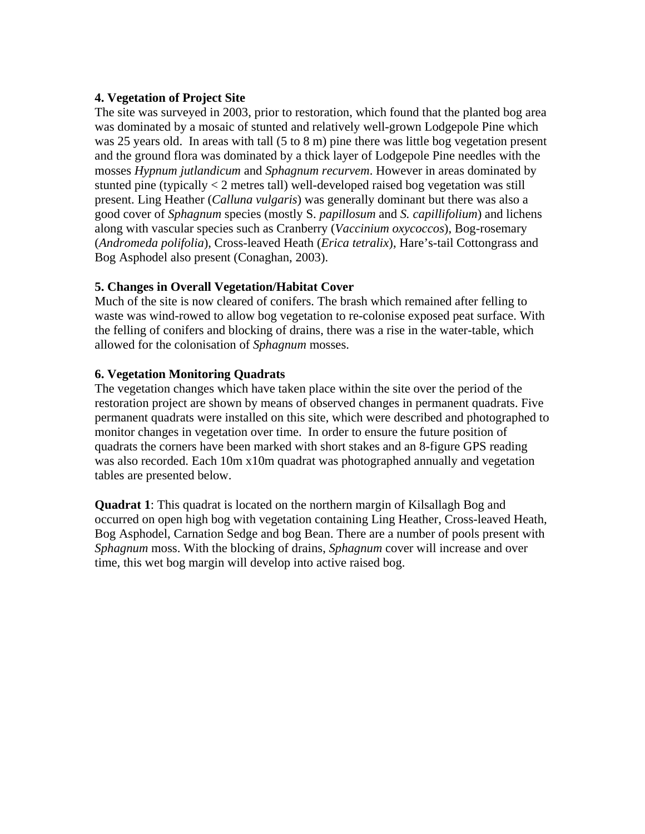#### **4. Vegetation of Project Site**

The site was surveyed in 2003, prior to restoration, which found that the planted bog area was dominated by a mosaic of stunted and relatively well-grown Lodgepole Pine which was 25 years old. In areas with tall (5 to 8 m) pine there was little bog vegetation present and the ground flora was dominated by a thick layer of Lodgepole Pine needles with the mosses *Hypnum jutlandicum* and *Sphagnum recurvem*. However in areas dominated by stunted pine (typically < 2 metres tall) well-developed raised bog vegetation was still present. Ling Heather (*Calluna vulgaris*) was generally dominant but there was also a good cover of *Sphagnum* species (mostly S. *papillosum* and *S. capillifolium*) and lichens along with vascular species such as Cranberry (*Vaccinium oxycoccos*), Bog-rosemary (*Andromeda polifolia*), Cross-leaved Heath (*Erica tetralix*), Hare's-tail Cottongrass and Bog Asphodel also present (Conaghan, 2003).

### **5. Changes in Overall Vegetation/Habitat Cover**

Much of the site is now cleared of conifers. The brash which remained after felling to waste was wind-rowed to allow bog vegetation to re-colonise exposed peat surface. With the felling of conifers and blocking of drains, there was a rise in the water-table, which allowed for the colonisation of *Sphagnum* mosses.

#### **6. Vegetation Monitoring Quadrats**

The vegetation changes which have taken place within the site over the period of the restoration project are shown by means of observed changes in permanent quadrats. Five permanent quadrats were installed on this site, which were described and photographed to monitor changes in vegetation over time. In order to ensure the future position of quadrats the corners have been marked with short stakes and an 8-figure GPS reading was also recorded. Each 10m x10m quadrat was photographed annually and vegetation tables are presented below.

**Quadrat 1**: This quadrat is located on the northern margin of Kilsallagh Bog and occurred on open high bog with vegetation containing Ling Heather, Cross-leaved Heath, Bog Asphodel, Carnation Sedge and bog Bean. There are a number of pools present with *Sphagnum* moss. With the blocking of drains, *Sphagnum* cover will increase and over time, this wet bog margin will develop into active raised bog.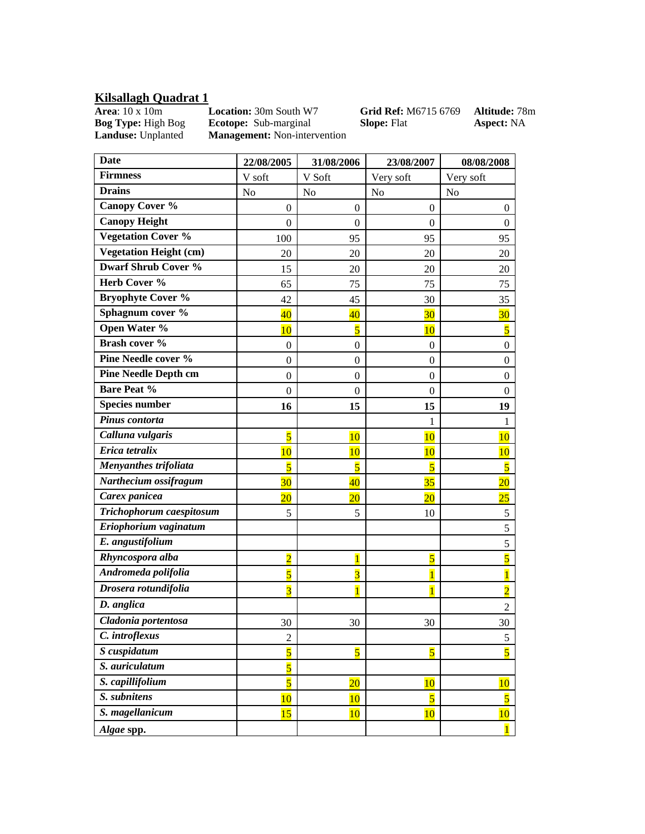#### **Kilsallagh Quadrat 1**

**Area**: 10 x 10m **Location:** 30m South W7 **Grid Ref:** M6715 6769 **Altitude:** 78m **Bog Type:** High Bog **Ecotope:** Sub-marginal **Slope:** Flat **Aspect:** NA **Landuse:** Unplanted **Management:** Non-intervention **Management:** Non-intervention

| <b>Date</b>                   | 22/08/2005              | 31/08/2006              | 23/08/2007              | 08/08/2008              |
|-------------------------------|-------------------------|-------------------------|-------------------------|-------------------------|
| <b>Firmness</b>               | V soft                  | V Soft                  | Very soft               | Very soft               |
| <b>Drains</b>                 | N <sub>o</sub>          | No                      | N <sub>0</sub>          | N <sub>o</sub>          |
| <b>Canopy Cover %</b>         | $\mathbf{0}$            | $\boldsymbol{0}$        | $\boldsymbol{0}$        | $\theta$                |
| <b>Canopy Height</b>          | $\mathbf{0}$            | $\overline{0}$          | $\mathbf{0}$            | $\theta$                |
| <b>Vegetation Cover %</b>     | 100                     | 95                      | 95                      | 95                      |
| <b>Vegetation Height (cm)</b> | 20                      | 20                      | 20                      | 20                      |
| <b>Dwarf Shrub Cover %</b>    | 15                      | 20                      | 20                      | 20                      |
| Herb Cover %                  | 65                      | 75                      | 75                      | 75                      |
| <b>Bryophyte Cover %</b>      | 42                      | 45                      | 30                      | 35                      |
| Sphagnum cover %              | $\overline{40}$         | $\overline{40}$         | 30                      | 30                      |
| Open Water %                  | 10                      | $\overline{\mathbf{5}}$ | 10                      | $\overline{\mathbf{5}}$ |
| Brash cover %                 | $\mathbf{0}$            | $\boldsymbol{0}$        | $\mathbf{0}$            | $\boldsymbol{0}$        |
| Pine Needle cover %           | $\mathbf{0}$            | $\boldsymbol{0}$        | $\boldsymbol{0}$        | $\boldsymbol{0}$        |
| <b>Pine Needle Depth cm</b>   | $\overline{0}$          | $\overline{0}$          | $\theta$                | 0                       |
| <b>Bare Peat %</b>            | $\mathbf{0}$            | $\boldsymbol{0}$        | $\boldsymbol{0}$        | $\boldsymbol{0}$        |
| <b>Species number</b>         | 16                      | 15                      | 15                      | 19                      |
| Pinus contorta                |                         |                         | 1                       | 1                       |
| Calluna vulgaris              | $\overline{5}$          | 10                      | 10                      | 10                      |
| Erica tetralix                | 10                      | 10                      | 10                      | 10                      |
| Menyanthes trifoliata         | $\overline{5}$          | $\overline{5}$          | $\overline{5}$          | $\overline{5}$          |
| Narthecium ossifragum         | 30 <sup>2</sup>         | $\overline{40}$         | 35                      | $\overline{20}$         |
| Carex panicea                 | $\overline{20}$         | $\overline{20}$         | $\overline{20}$         | 25                      |
| Trichophorum caespitosum      | 5                       | 5                       | 10                      | 5                       |
| Eriophorium vaginatum         |                         |                         |                         | 5                       |
| E. angustifolium              |                         |                         |                         | 5                       |
| Rhyncospora alba              | $\overline{2}$          | $\overline{1}$          | $\overline{5}$          | $\overline{5}$          |
| Andromeda polifolia           | $\overline{5}$          | $\overline{3}$          | $\overline{1}$          | $\overline{1}$          |
| Drosera rotundifolia          | $\overline{3}$          | $\overline{1}$          | $\overline{1}$          | $\overline{2}$          |
| D. anglica                    |                         |                         |                         | $\overline{2}$          |
| Cladonia portentosa           | 30                      | 30                      | 30                      | 30                      |
| C. introflexus                | $\overline{c}$          |                         |                         | 5                       |
| S cuspidatum                  | $\overline{\mathbf{5}}$ | $\overline{\mathbf{5}}$ | $\overline{\mathbf{5}}$ | $\overline{\mathbf{5}}$ |
| S. auriculatum                | $\overline{\mathbf{5}}$ |                         |                         |                         |
| S. capillifolium              | $\overline{\mathbf{5}}$ | $\overline{20}$         | 10                      | 10                      |
| S. subnitens                  | 10                      | 10                      | $\overline{\mathbf{5}}$ | $\overline{\mathbf{5}}$ |
| S. magellanicum               | 15                      | 10                      | 10                      | 10                      |
| Algae spp.                    |                         |                         |                         | $\overline{1}$          |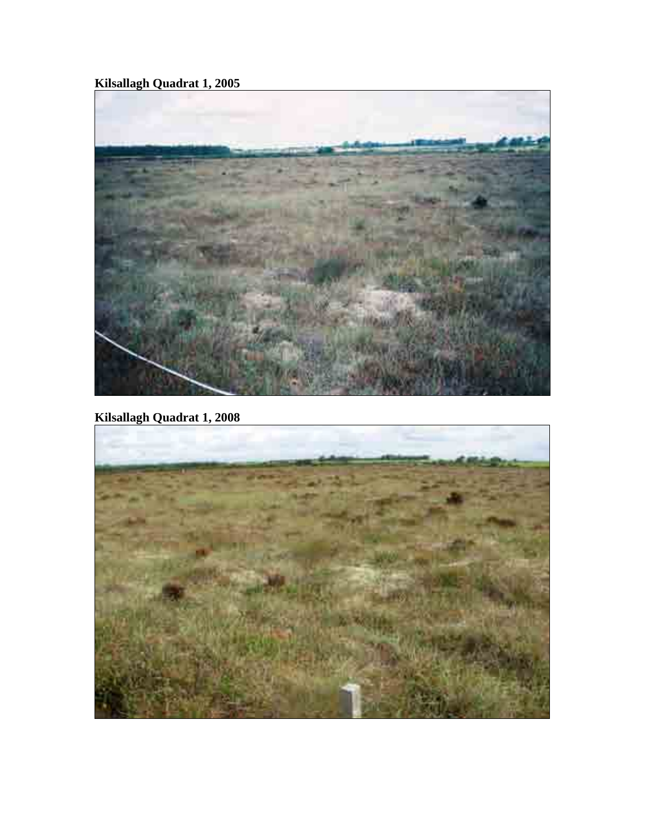**Kilsallagh Quadrat 1, 2005** 



**Kilsallagh Quadrat 1, 2008** 

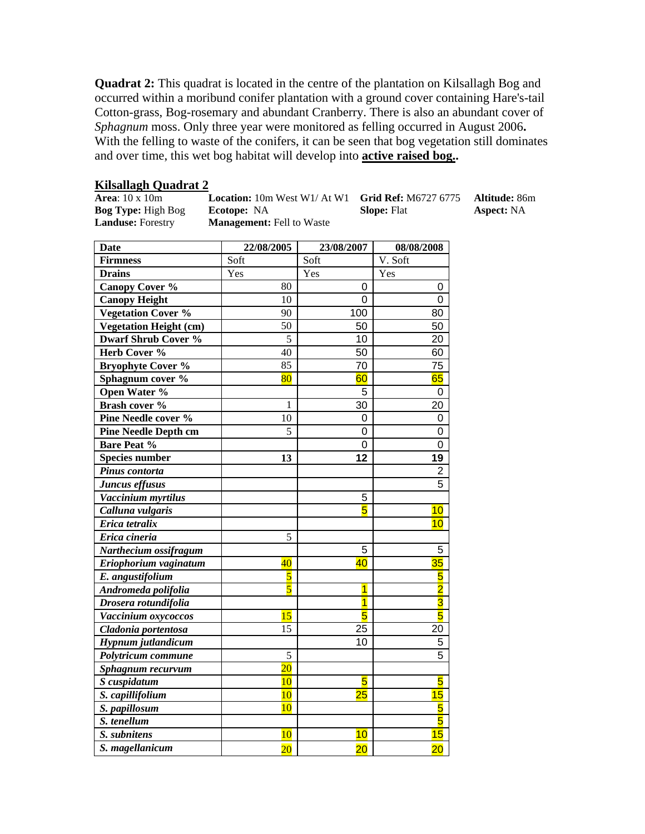**Quadrat 2:** This quadrat is located in the centre of the plantation on Kilsallagh Bog and occurred within a moribund conifer plantation with a ground cover containing Hare's-tail Cotton-grass, Bog-rosemary and abundant Cranberry. There is also an abundant cover of *Sphagnum* moss. Only three year were monitored as felling occurred in August 2006**.**  With the felling to waste of the conifers, it can be seen that bog vegetation still dominates and over time, this wet bog habitat will develop into **active raised bog..**

# **Kilsallagh Quadrat 2**<br>**Area**: 10 x 10m **Location:** 10m West W1/ At W1 **Grid Ref:** M6727 6775 **Altitude:** 86m

**Landuse:** Forestry **Management:** Fell to Waste

**Bog Type:** High Bog **Ecotope:** NA **Slope:** Flat **Aspect:** NA

| <b>Date</b>                   | 22/08/2005      | 23/08/2007     | 08/08/2008              |
|-------------------------------|-----------------|----------------|-------------------------|
| <b>Firmness</b>               | Soft            | Soft           | V. Soft                 |
| <b>Drains</b>                 | Yes             | Yes            | Yes                     |
| <b>Canopy Cover %</b>         | 80              | 0              | 0                       |
| <b>Canopy Height</b>          | 10              | 0              | 0                       |
| <b>Vegetation Cover %</b>     | 90              | 100            | 80                      |
| <b>Vegetation Height (cm)</b> | 50              | 50             | 50                      |
| <b>Dwarf Shrub Cover %</b>    | 5               | 10             | 20                      |
| Herb Cover %                  | 40              | 50             | 60                      |
| <b>Bryophyte Cover %</b>      | 85              | 70             | 75                      |
| Sphagnum cover %              | $\overline{80}$ | 60             | 65                      |
| Open Water %                  |                 | 5              | $\mathbf 0$             |
| Brash cover %                 | 1               | 30             | 20                      |
| Pine Needle cover %           | 10              | $\overline{0}$ | $\mathbf 0$             |
| <b>Pine Needle Depth cm</b>   | 5               | $\overline{0}$ | $\mathbf 0$             |
| <b>Bare Peat %</b>            |                 | 0              | 0                       |
| <b>Species number</b>         | 13              | 12             | 19                      |
| Pinus contorta                |                 |                | $\overline{2}$          |
| Juncus effusus                |                 |                | 5                       |
| Vaccinium myrtilus            |                 | 5              |                         |
| Calluna vulgaris              |                 | 5              | 10                      |
| Erica tetralix                |                 |                | 10                      |
| Erica cineria                 | 5               |                |                         |
| Narthecium ossifragum         |                 | 5              | 5                       |
| Eriophorium vaginatum         | $\overline{40}$ | 40             | 35                      |
| E. angustifolium              | $\overline{5}$  |                | $\overline{\mathbf{5}}$ |
| Andromeda polifolia           | $\overline{5}$  | $\overline{1}$ | $\overline{\mathbf{2}}$ |
| Drosera rotundifolia          |                 | $\overline{1}$ | $\overline{\mathbf{3}}$ |
| Vaccinium oxycoccos           | 15              | 5              | 5                       |
| Cladonia portentosa           | 15              | 25             | 20                      |
| Hypnum jutlandicum            |                 | 10             | 5                       |
| Polytricum commune            | 5               |                | $\overline{5}$          |
| Sphagnum recurvum             | $\overline{20}$ |                |                         |
| S cuspidatum                  | 10              | 5              | 5                       |
| S. capillifolium              | 10              | 25             | 15                      |
| S. papillosum                 | 10              |                | 5                       |
| S. tenellum                   |                 |                | 5                       |
| S. subnitens                  | 10              | 10             | 15                      |
| S. magellanicum               | $\overline{20}$ | 20             | $\overline{20}$         |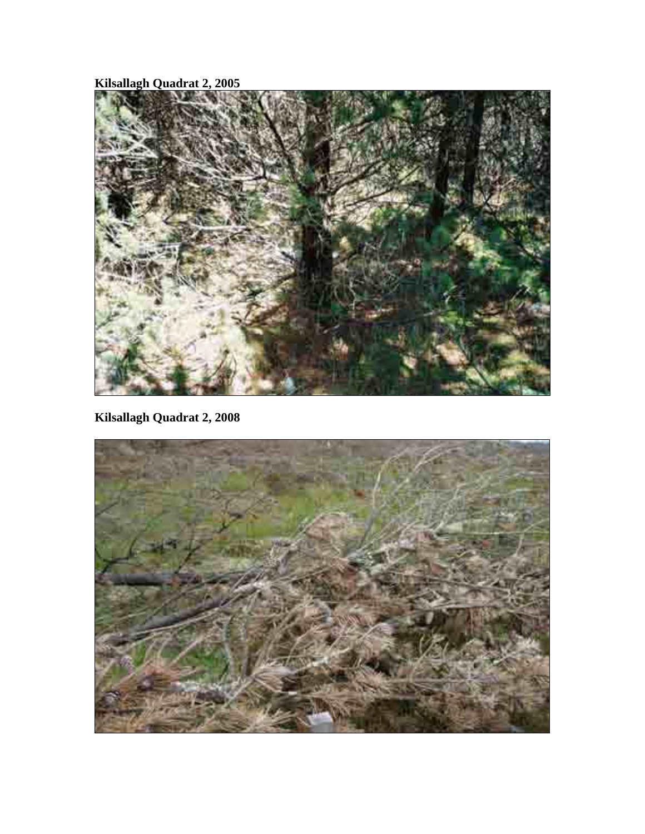**Kilsallagh Quadrat 2, 2005** 



**Kilsallagh Quadrat 2, 2008** 

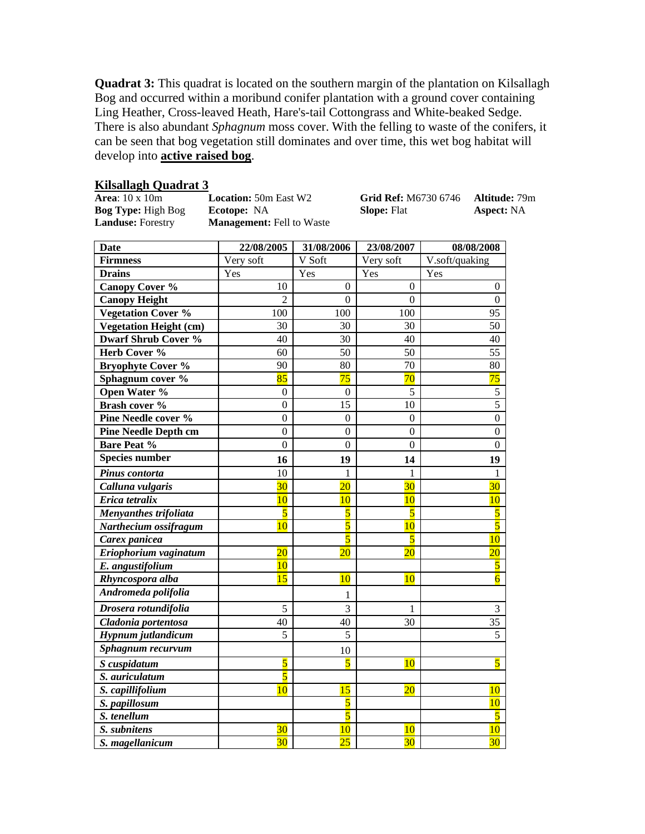**Quadrat 3:** This quadrat is located on the southern margin of the plantation on Kilsallagh Bog and occurred within a moribund conifer plantation with a ground cover containing Ling Heather, Cross-leaved Heath, Hare's-tail Cottongrass and White-beaked Sedge. There is also abundant *Sphagnum* moss cover. With the felling to waste of the conifers, it can be seen that bog vegetation still dominates and over time, this wet bog habitat will develop into **active raised bog**.

| <b>Area</b> : 10 x 10m    | Loca |
|---------------------------|------|
| <b>Bog Type: High Bog</b> | Ecot |
| <b>Landuse:</b> Forestry  | Man  |

**agement:** Fell to Waste

**Kilsallagh Quadrat 3**<br> **Area**: 10 x 10m **Location:** 50m East W2 **Grid Ref:** M6730 6746 **Altitude:** 79m **bog Type:** NA **Slope:** Flat **Aspect:** NA

| <b>Date</b>                   | 22/08/2005              | 31/08/2006       | 23/08/2007              | 08/08/2008              |
|-------------------------------|-------------------------|------------------|-------------------------|-------------------------|
| <b>Firmness</b>               | Very soft               | V Soft           | Very soft               | V.soft/quaking          |
| <b>Drains</b>                 | Yes                     | Yes              | Yes                     | Yes                     |
| <b>Canopy Cover %</b>         | 10                      | $\mathbf{0}$     | $\theta$                | $\overline{0}$          |
| <b>Canopy Height</b>          | $\overline{2}$          | $\overline{0}$   | $\overline{0}$          | $\boldsymbol{0}$        |
| <b>Vegetation Cover %</b>     | 100                     | 100              | 100                     | 95                      |
| <b>Vegetation Height (cm)</b> | 30                      | 30               | 30                      | 50                      |
| <b>Dwarf Shrub Cover %</b>    | 40                      | 30               | 40                      | 40                      |
| Herb Cover %                  | 60                      | 50               | 50                      | 55                      |
| <b>Bryophyte Cover %</b>      | 90                      | 80               | 70                      | 80                      |
| Sphagnum cover %              | 85                      | 75               | 70                      | 75                      |
| Open Water %                  | $\boldsymbol{0}$        | $\Omega$         | 5                       | 5                       |
| Brash cover %                 | $\boldsymbol{0}$        | 15               | 10                      | $\overline{5}$          |
| Pine Needle cover %           | $\overline{0}$          | $\boldsymbol{0}$ | $\boldsymbol{0}$        | $\overline{0}$          |
| <b>Pine Needle Depth cm</b>   | $\boldsymbol{0}$        | $\boldsymbol{0}$ | $\overline{0}$          | $\boldsymbol{0}$        |
| <b>Bare Peat %</b>            | $\overline{0}$          | $\overline{0}$   | $\overline{0}$          | $\overline{0}$          |
| <b>Species number</b>         | 16                      | 19               | 14                      | 19                      |
| Pinus contorta                | 10                      | 1                | 1                       | 1                       |
| Calluna vulgaris              | 30                      | $\overline{20}$  | 30 <sup>°</sup>         | 30 <sup>2</sup>         |
| Erica tetralix                | 10                      | 10               | 10                      | 10                      |
| Menyanthes trifoliata         | $\overline{\mathbf{5}}$ | $\overline{5}$   | $\overline{\mathbf{5}}$ | $\overline{5}$          |
| Narthecium ossifragum         | 10                      | $\overline{5}$   | 10                      | $\overline{5}$          |
| Carex panicea                 |                         | $\overline{5}$   | $\overline{\mathbf{5}}$ | 10                      |
| Eriophorium vaginatum         | $\overline{20}$         | 20               | 20                      | $\overline{20}$         |
| E. angustifolium              | 10                      |                  |                         | $\overline{\mathbf{5}}$ |
| Rhyncospora alba              | 15                      | 10               | 10                      | $\overline{6}$          |
| Andromeda polifolia           |                         | 1                |                         |                         |
| Drosera rotundifolia          | 5                       | $\overline{3}$   | 1                       | $\mathfrak{Z}$          |
| Cladonia portentosa           | 40                      | 40               | 30                      | $\overline{35}$         |
| Hypnum jutlandicum            | 5                       | 5                |                         | 5                       |
| Sphagnum recurvum             |                         | 10               |                         |                         |
| S cuspidatum                  | $\overline{\mathbf{5}}$ | $\overline{5}$   | 10                      | 5                       |
| S. auriculatum                | $\overline{5}$          |                  |                         |                         |
| S. capillifolium              | 10                      | 15               | 20                      | 10                      |
| S. papillosum                 |                         | $\overline{5}$   |                         | 10                      |
| S. tenellum                   |                         | $\overline{5}$   |                         | $\overline{\mathbf{5}}$ |
| S. subnitens                  | 30                      | 10               | <b>10</b>               | 10                      |
| S. magellanicum               | 30                      | $\overline{25}$  | 30 <sub>o</sub>         | 30 <sub>o</sub>         |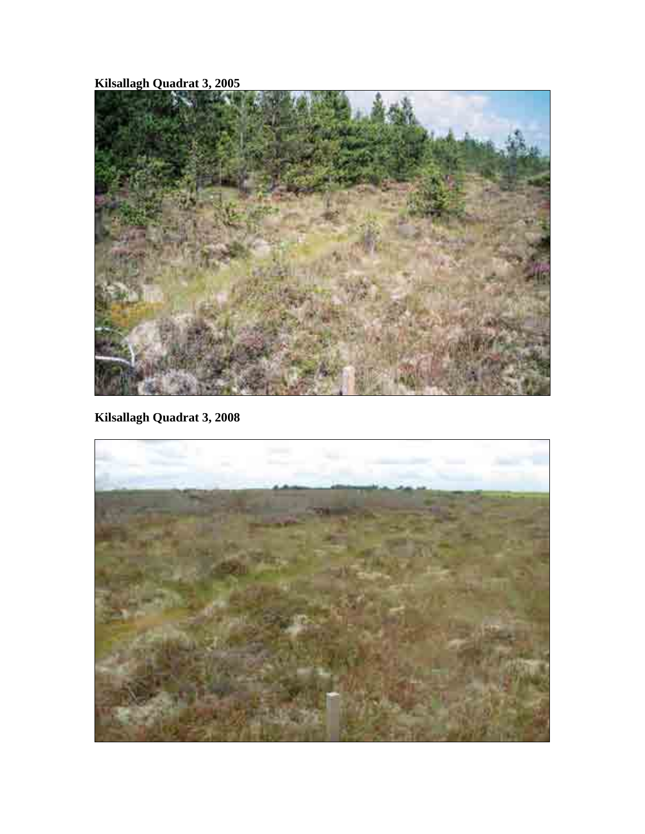**Kilsallagh Quadrat 3, 2005** 



**Kilsallagh Quadrat 3, 2008** 

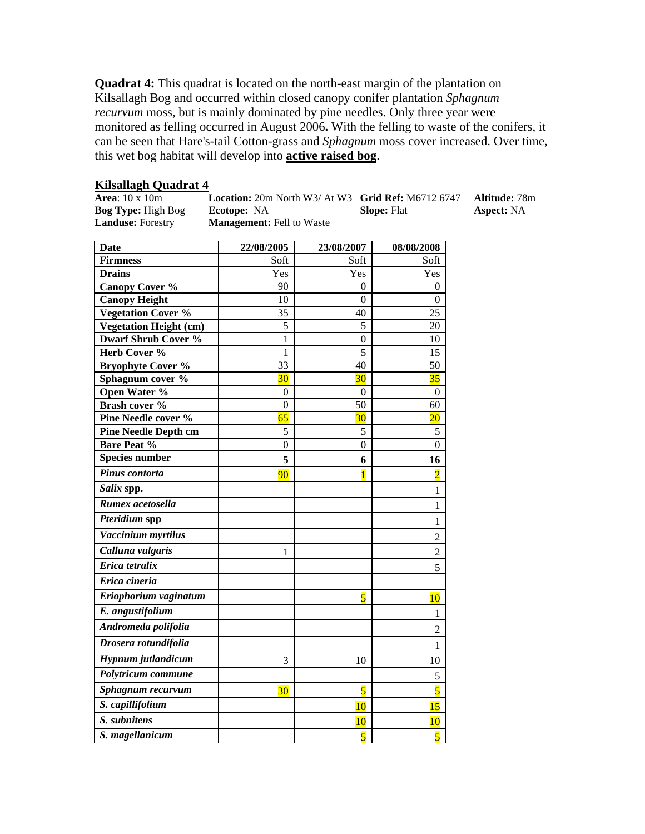**Quadrat 4:** This quadrat is located on the north-east margin of the plantation on Kilsallagh Bog and occurred within closed canopy conifer plantation *Sphagnum recurvum* moss, but is mainly dominated by pine needles. Only three year were monitored as felling occurred in August 2006**.** With the felling to waste of the conifers, it can be seen that Hare's-tail Cotton-grass and *Sphagnum* moss cover increased. Over time, this wet bog habitat will develop into **active raised bog**.

| <b>Kilsallagh Quadrat 4</b> |                                                                    |                    |                      |  |
|-----------------------------|--------------------------------------------------------------------|--------------------|----------------------|--|
| Area: $10 \times 10m$       | <b>Location:</b> 20m North W3/ $\text{At W3}$ Grid Ref: M6712 6747 |                    | <b>Altitude:</b> 78m |  |
| <b>Bog Type:</b> High Bog   | <b>Ecotope:</b> NA                                                 | <b>Slope:</b> Flat | <b>Aspect:</b> NA    |  |
| <b>Landuse:</b> Forestry    | <b>Management:</b> Fell to Waste                                   |                    |                      |  |

| <b>Date</b>                   | 22/08/2005       | 23/08/2007       | 08/08/2008       |
|-------------------------------|------------------|------------------|------------------|
| <b>Firmness</b>               | Soft             | Soft             | Soft             |
| <b>Drains</b>                 | Yes              | Yes              | Yes              |
| <b>Canopy Cover %</b>         | 90               | 0                | 0                |
| <b>Canopy Height</b>          | 10               | $\mathbf{0}$     | $\theta$         |
| <b>Vegetation Cover %</b>     | 35               | 40               | 25               |
| <b>Vegetation Height (cm)</b> | 5                | 5                | 20               |
| <b>Dwarf Shrub Cover %</b>    | 1                | $\overline{0}$   | 10               |
| Herb Cover %                  | 1                | 5                | 15               |
| <b>Bryophyte Cover %</b>      | 33               | 40               | 50               |
| Sphagnum cover %              | 30               | 30               | 35               |
| Open Water %                  | $\boldsymbol{0}$ | $\boldsymbol{0}$ | $\boldsymbol{0}$ |
| Brash cover %                 | $\boldsymbol{0}$ | 50               | 60               |
| <b>Pine Needle cover %</b>    | 65               | 30               | $\overline{20}$  |
| <b>Pine Needle Depth cm</b>   | 5                | 5                | 5                |
| <b>Bare Peat %</b>            | $\overline{0}$   | $\overline{0}$   | $\overline{0}$   |
| <b>Species number</b>         | 5                | 6                | 16               |
| Pinus contorta                | 90               | $\overline{1}$   | $\overline{2}$   |
| Salix spp.                    |                  |                  | 1                |
| Rumex acetosella              |                  |                  | 1                |
| Pteridium spp                 |                  |                  | 1                |
| Vaccinium myrtilus            |                  |                  | $\overline{2}$   |
| Calluna vulgaris              | 1                |                  | $\overline{2}$   |
| Erica tetralix                |                  |                  | 5                |
| Erica cineria                 |                  |                  |                  |
| Eriophorium vaginatum         |                  | 5                | 10               |
| E. angustifolium              |                  |                  | $\mathbf{1}$     |
| Andromeda polifolia           |                  |                  | $\overline{2}$   |
| Drosera rotundifolia          |                  |                  | 1                |
| Hypnum jutlandicum            | 3                | 10               | 10               |
| Polytricum commune            |                  |                  | 5                |
| Sphagnum recurvum             | 30               | 5                | $\overline{5}$   |
| S. capillifolium              |                  | 10               | 15               |
| S. subnitens                  |                  | 10               | 10               |
| S. magellanicum               |                  | $\overline{5}$   | $\overline{5}$   |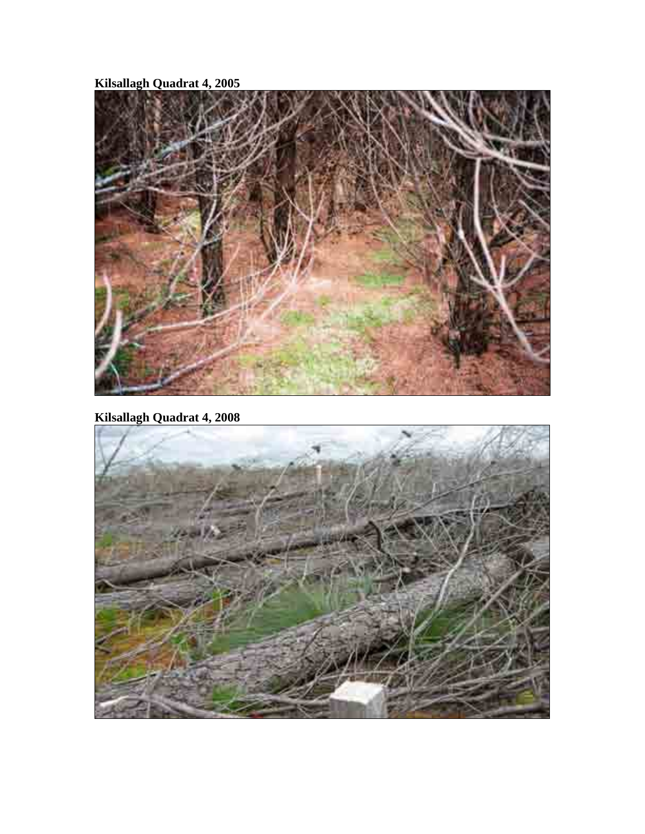**Kilsallagh Quadrat 4, 2005** 



**Kilsallagh Quadrat 4, 2008** 

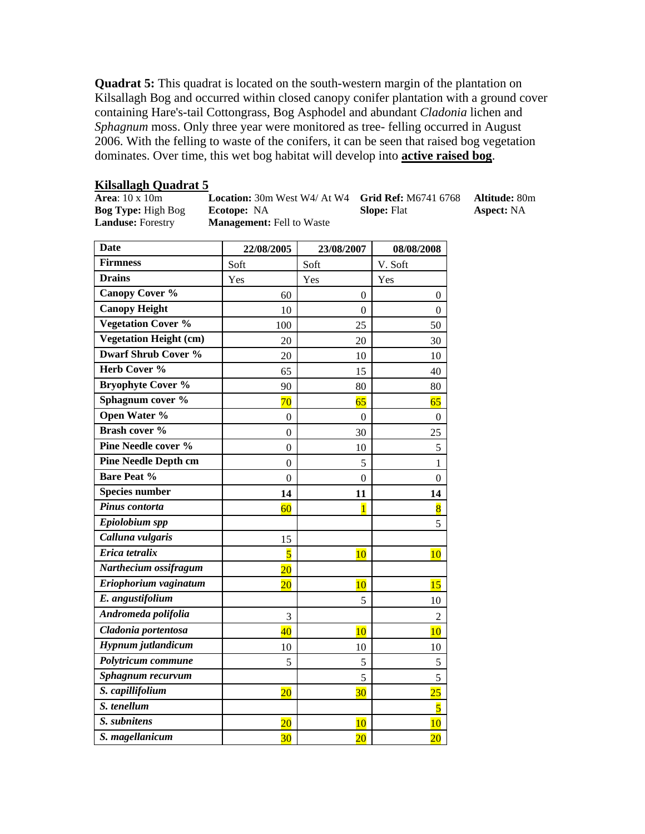**Quadrat 5:** This quadrat is located on the south-western margin of the plantation on Kilsallagh Bog and occurred within closed canopy conifer plantation with a ground cover containing Hare's-tail Cottongrass, Bog Asphodel and abundant *Cladonia* lichen and *Sphagnum* moss. Only three year were monitored as tree- felling occurred in August 2006. With the felling to waste of the conifers, it can be seen that raised bog vegetation dominates. Over time, this wet bog habitat will develop into **active raised bog**.

**Kilsallagh Quadrat 5**<br>**Area**: 10 x 10m **Location:** 30m West W4/ At W4 **Grid Ref:** M6741 6768 **Altitude:** 80m **Bog Type:** High Bog **Ecotope:** NA **Slope:** Flat **Aspect:** NA **Landuse:** Forestry **Management:** Fell to Waste

| <b>Date</b>                   | 22/08/2005              | 23/08/2007       | 08/08/2008              |
|-------------------------------|-------------------------|------------------|-------------------------|
| <b>Firmness</b>               | Soft                    | Soft             | V. Soft                 |
| <b>Drains</b>                 | Yes                     | Yes              | Yes                     |
| <b>Canopy Cover %</b>         | 60                      | 0                | $\boldsymbol{0}$        |
| <b>Canopy Height</b>          | 10                      | $\mathbf{0}$     | $\mathbf{0}$            |
| <b>Vegetation Cover %</b>     | 100                     | 25               | 50                      |
| <b>Vegetation Height (cm)</b> | 20                      | 20               | 30                      |
| Dwarf Shrub Cover %           | 20                      | 10               | 10                      |
| Herb Cover %                  | 65                      | 15               | 40                      |
| <b>Bryophyte Cover %</b>      | 90                      | 80               | 80                      |
| Sphagnum cover %              | 70                      | 65               | 65                      |
| <b>Open Water %</b>           | $\boldsymbol{0}$        | $\boldsymbol{0}$ | $\boldsymbol{0}$        |
| Brash cover %                 | $\boldsymbol{0}$        | 30               | 25                      |
| Pine Needle cover %           | $\theta$                | 10               | 5                       |
| <b>Pine Needle Depth cm</b>   | $\boldsymbol{0}$        | 5                | $\mathbf{1}$            |
| <b>Bare Peat %</b>            | $\theta$                | $\mathbf{0}$     | $\boldsymbol{0}$        |
| <b>Species number</b>         | 14                      | 11               | 14                      |
| Pinus contorta                | 60                      | $\overline{1}$   | $\overline{8}$          |
| Epiolobium spp                |                         |                  | 5                       |
| Calluna vulgaris              | 15                      |                  |                         |
| Erica tetralix                | $\overline{\mathbf{5}}$ | 10               | 10                      |
| Narthecium ossifragum         | $\overline{20}$         |                  |                         |
| Eriophorium vaginatum         | $\overline{20}$         | 10               | 15                      |
| E. angustifolium              |                         | 5                | 10                      |
| Andromeda polifolia           | 3                       |                  | $\overline{2}$          |
| Cladonia portentosa           | 40                      | 10               | 10                      |
| Hypnum jutlandicum            | 10                      | 10               | 10                      |
| Polytricum commune            | 5                       | 5                | $\mathfrak s$           |
| Sphagnum recurvum             |                         | 5                | 5                       |
| S. capillifolium              | $\overline{20}$         | 30               | $25\overline{)}$        |
| S. tenellum                   |                         |                  | $\overline{\mathbf{5}}$ |
| S. subnitens                  | $\overline{20}$         | 10               | 10                      |
| S. magellanicum               | 30 <sup>2</sup>         | $\overline{20}$  | $\overline{20}$         |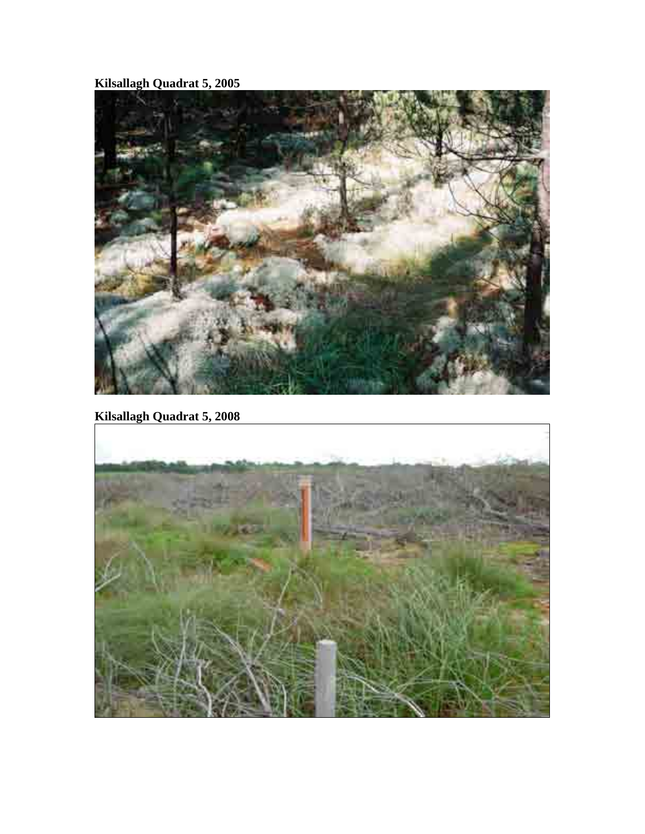**Kilsallagh Quadrat 5, 2005** 



**Kilsallagh Quadrat 5, 2008** 

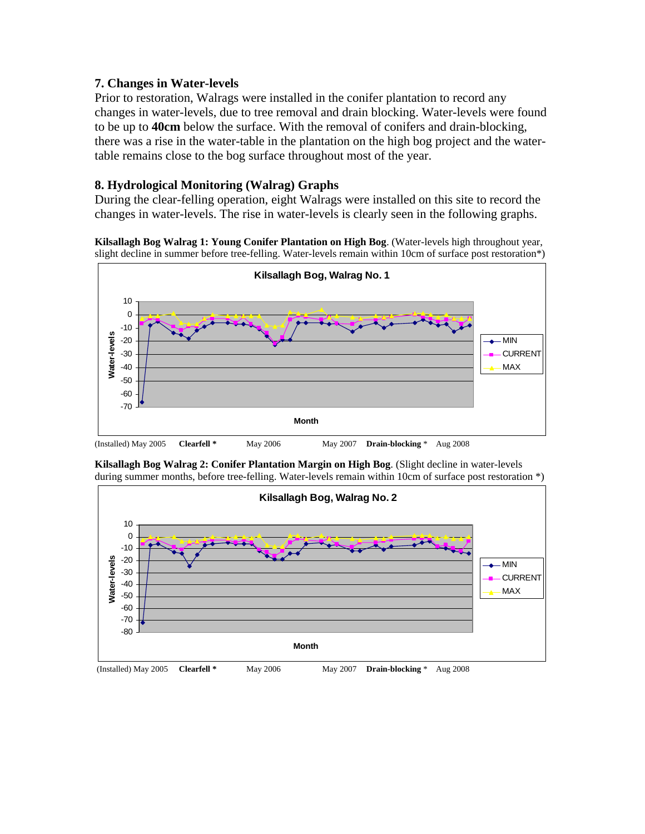#### **7. Changes in Water-levels**

Prior to restoration, Walrags were installed in the conifer plantation to record any changes in water-levels, due to tree removal and drain blocking. Water-levels were found to be up to **40cm** below the surface. With the removal of conifers and drain-blocking, there was a rise in the water-table in the plantation on the high bog project and the watertable remains close to the bog surface throughout most of the year.

#### **8. Hydrological Monitoring (Walrag) Graphs**

During the clear-felling operation, eight Walrags were installed on this site to record the changes in water-levels. The rise in water-levels is clearly seen in the following graphs.

**Kilsallagh Bog Walrag 1: Young Conifer Plantation on High Bog**. (Water-levels high throughout year, slight decline in summer before tree-felling. Water-levels remain within 10cm of surface post restoration\*)





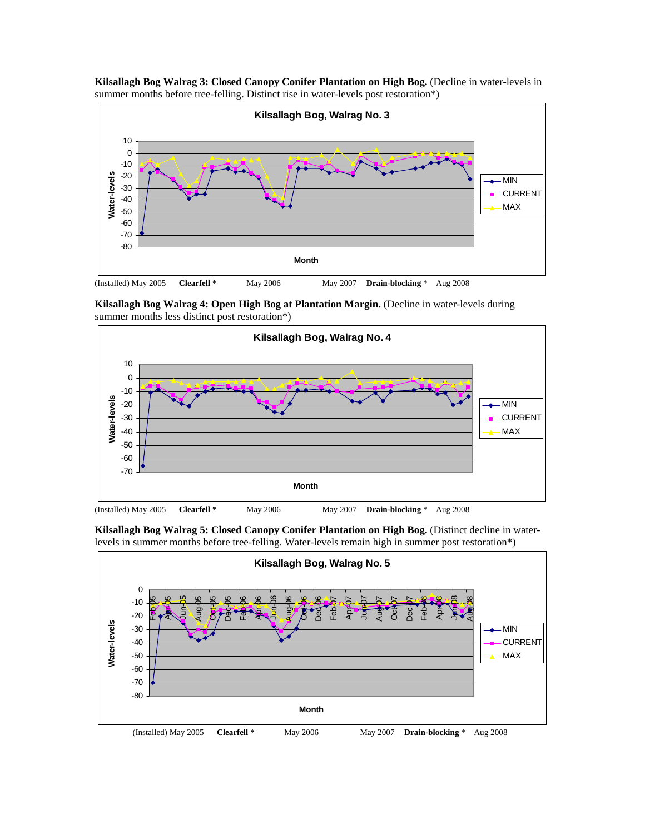

**Kilsallagh Bog Walrag 3: Closed Canopy Conifer Plantation on High Bog.** (Decline in water-levels in summer months before tree-felling. Distinct rise in water-levels post restoration\*)

**Kilsallagh Bog Walrag 4: Open High Bog at Plantation Margin.** (Decline in water-levels during summer months less distinct post restoration\*)



**Kilsallagh Bog Walrag 5: Closed Canopy Conifer Plantation on High Bog.** (Distinct decline in waterlevels in summer months before tree-felling. Water-levels remain high in summer post restoration\*)

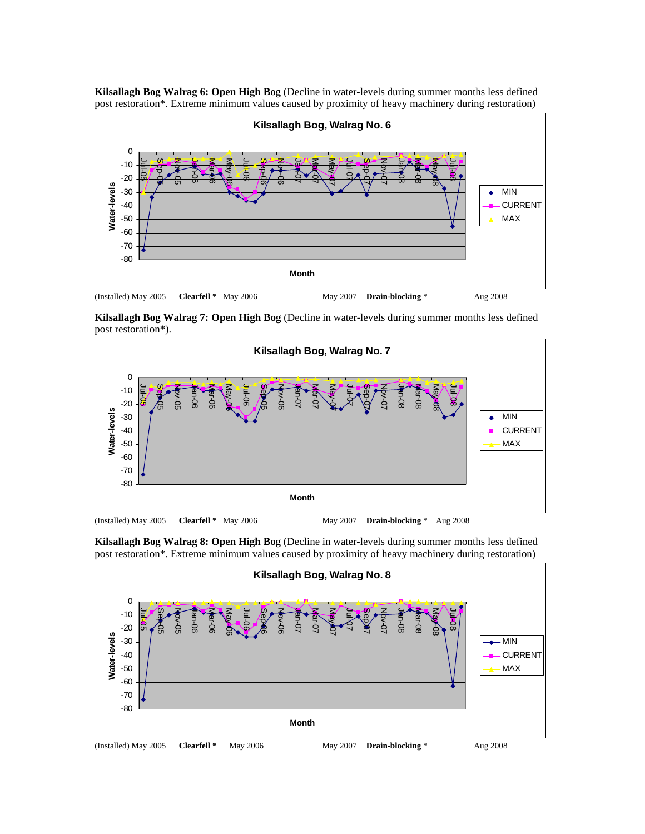

**Kilsallagh Bog Walrag 6: Open High Bog** (Decline in water-levels during summer months less defined post restoration\*. Extreme minimum values caused by proximity of heavy machinery during restoration)

**Kilsallagh Bog Walrag 7: Open High Bog** (Decline in water-levels during summer months less defined post restoration\*).



**Kilsallagh Bog Walrag 8: Open High Bog** (Decline in water-levels during summer months less defined post restoration\*. Extreme minimum values caused by proximity of heavy machinery during restoration)